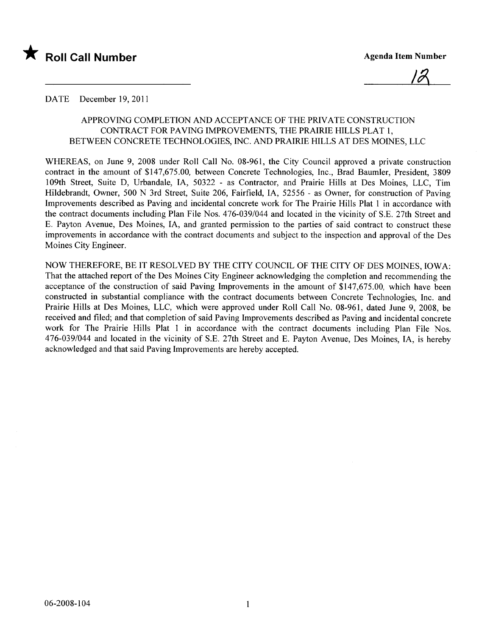

12

#### DATE December 19, 2011

## APPROVING COMPLETION AND ACCEPTANCE OF THE PRIVATE CONSTRUCTION CONTRACT FOR PAVING IMPROVEMENTS, THE PRAIRIE HILLS PLAT 1, BETWEEN CONCRETE TECHNOLOGIES, INC. AND PRAIRIE HILLS AT DES MOINES, LLC

WHEREAS, on June 9, 2008 under Roll Call No. 08-961, the City Council approved a private construction contract in the amount of \$147,675.00, between Concrete Technologies, Inc., Brad Baumler, President, 3809 109th Street, Suite D, Urbandale, lA, 50322 - as Contractor, and Prairie Hils at Des Moines, LLC, Tim Hildebrandt, Owner, 500 N 3rd Street, Suite 206, Fairfield, lA, 52556 - as Owner, for construction of Paving Improvements described as Paving and incidental concrete work for The Prairie Hils Plat 1 in accordance with the contract documents including Plan File Nos. 476-039/044 and located in the vicinity of S.E. 27th Street and E. Payton Avenue, Des Moines, lA, and granted permission to the parties of said contract to construct these improvements in accordance with the contract documents and subject to the inspection and approval of the Des Moines City Engineer.

NOW THEREFORE, BE IT RESOLVED BY THE CITY COUNCIL OF THE CITY OF DES MOINES, IOWA: That the attached report of the Des Moines City Engineer acknowledging the completion and recommending the acceptance of the construction of said Paving Improvements in the amount of \$147,675.00, which have been constructed in substantial compliance with the contract documents between Concrete Technologies, Inc. and Prairie Hils at Des Moines, LLC, which were approved under Roll Call No. 08-961, dated June 9, 2008, be received and fied; and that completion of said Paving Improvements described as Paving and incidental concrete work for The Prairie Hils Plat 1 in accordance with the contract documents including Plan File Nos. 476-039/044 and located in the vicinity of S.E. 27th Street and E. Payton Avenue, Des Moines, lA, is hereby acknowledged and that said Paving Improvements are hereby accepted.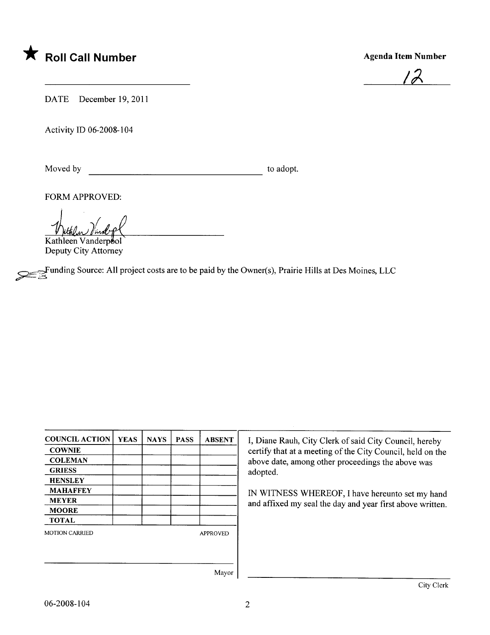

12

DATE December 19, 2011

Activity ID 06-2008-104

Moved by to adopt.

FORM APPROVED:

<u>thetelen Vandopl</u>

Deputy City Attorney

 $\approx$  Funding Source: All project costs are to be paid by the Owner(s), Prairie Hills at Des Moines, LLC

| <b>COUNCIL ACTION</b> | <b>YEAS</b> | <b>NAYS</b> | <b>PASS</b> | <b>ABSENT</b> |
|-----------------------|-------------|-------------|-------------|---------------|
| <b>COWNIE</b>         |             |             |             |               |
| <b>COLEMAN</b>        |             |             |             |               |
| <b>GRIESS</b>         |             |             |             |               |
| <b>HENSLEY</b>        |             |             |             |               |
| <b>MAHAFFEY</b>       |             |             |             |               |
| <b>MEYER</b>          |             |             |             |               |
| <b>MOORE</b>          |             |             |             |               |
| <b>TOTAL</b>          |             |             |             |               |
| <b>MOTION CARRIED</b> |             |             |             | APPROVED      |
|                       |             |             |             |               |
|                       |             |             |             | Mavor         |

I, Diane Rauh, City Clerk of said City Council, hereby certify that at a meeting of the City Council, held on the above date, among other proceedings the above was adopted.

IN WITNESS WHEREOF, I have hereunto set my hand and affixed my seal the day and year first above written.

Mayor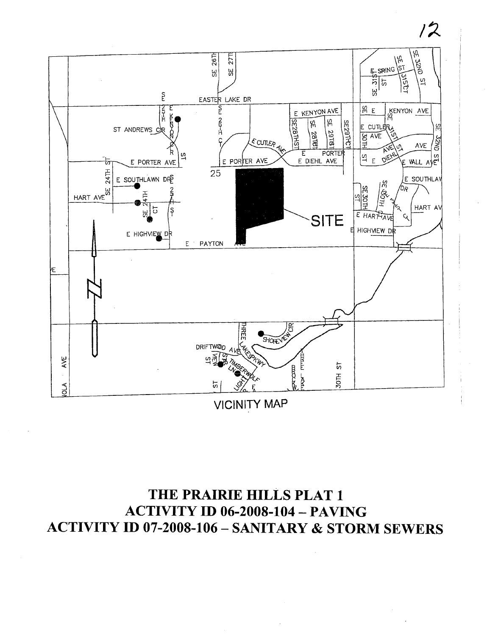

 $12$ 

**VICINITY MAP** 

# THE PRAIRIE HILLS PLAT 1 **ACTIVITY ID 06-2008-104 - PAVING ACTIVITY ID 07-2008-106 - SANITARY & STORM SEWERS**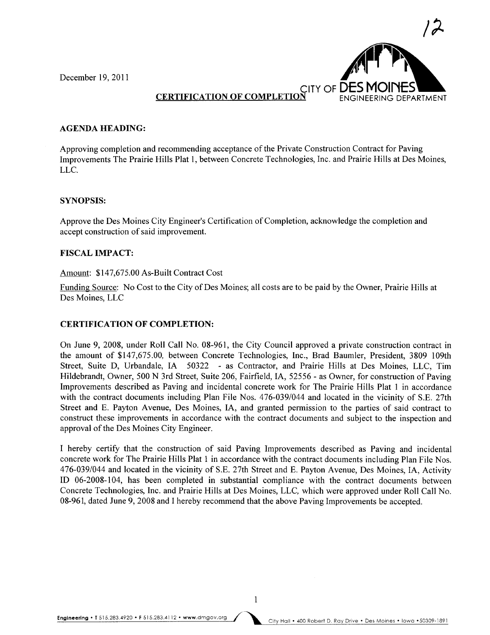December 19, 2011



# **CERTIFICATION OF COMPLET**

#### AGENDA HEADING:

Approving completion and recommending acceptance of the Private Construction Contract for Paving Improvements The Prairie Hils Plat 1, between Concrete Technologies, Inc. and Prairie Hills at Des Moines, LLC.

#### SYNOPSIS:

Approve the Des Moines City Engineer's Certification of Completion, acknowledge the completion and accept construction of said improvement.

#### FISCAL IMPACT:

#### Amount: \$147,675.00 As-Built Contract Cost

Funding Source: No Cost to the City of Des Moines; all costs are to be paid by the Owner, Prairie Hills at Des Moines, LLC

### CERTIFICATION OF COMPLETION:

On June 9, 2008, under Roll Call No. 08-961, the City Council approved a private construction contract in the amount of \$147,675.00, between Concrete Technologies, Inc., Brad Baumler, President, 3809 109th Street, Suite D, Urbandale, IA 50322 - as Contractor, and Prairie Hils at Des Moines, LLC, Tim Hildebrandt, Owner, 500 N 3rd Street, Suite 206, Fairfield, lA, 52556 - as Owner, for construction of Paving Improvements described as Paving and incidental concrete work for The Prairie Hills Plat 1 in accordance with the contract documents including Plan File Nos. 476-039/044 and located in the vicinity of S.E. 27th Street and E. Payton Avenue, Des Moines, IA, and granted permission to the parties of said contract to construct these improvements in accordance with the contract documents and subject to the inspection and approval of the Des Moines City Engineer.

I hereby certify that the construction of said Paving Improvements described as Paving and incidental concrete work for The Prairie Hils Plat 1 in accordance with the contract documents including Plan File Nos. 476-039/044 and located in the vicinity of S.E. 27th Street and E. Payton Avenue, Des Moines, lA, Activity ID 06-2008-104, has been completed in substantial compliance with the contract documents between Concrete Technologies, Inc. and Prairie Hills at Des Moines, LLC, which were approved under Roll Call No. 08-961, dated June 9,2008 and I hereby recommend that the above Paving Improvements be accepted.

1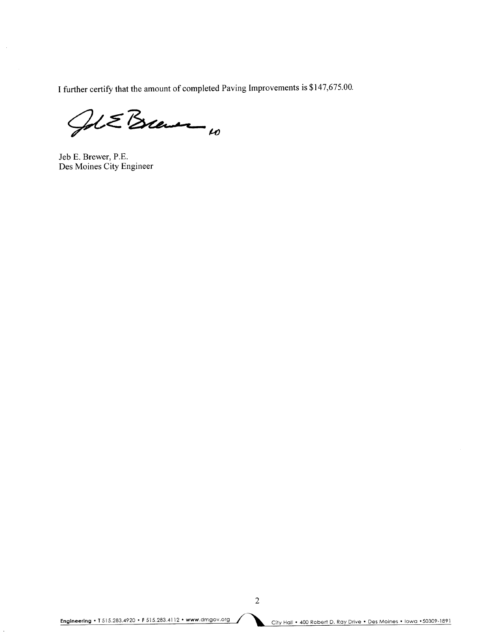I further certify that the amount of completed Paving Improvements is \$147,675.00.

Jol E Brewer 10

Jeb E. Brewer, P.E. Des Moines City Engineer

 $\overline{2}$